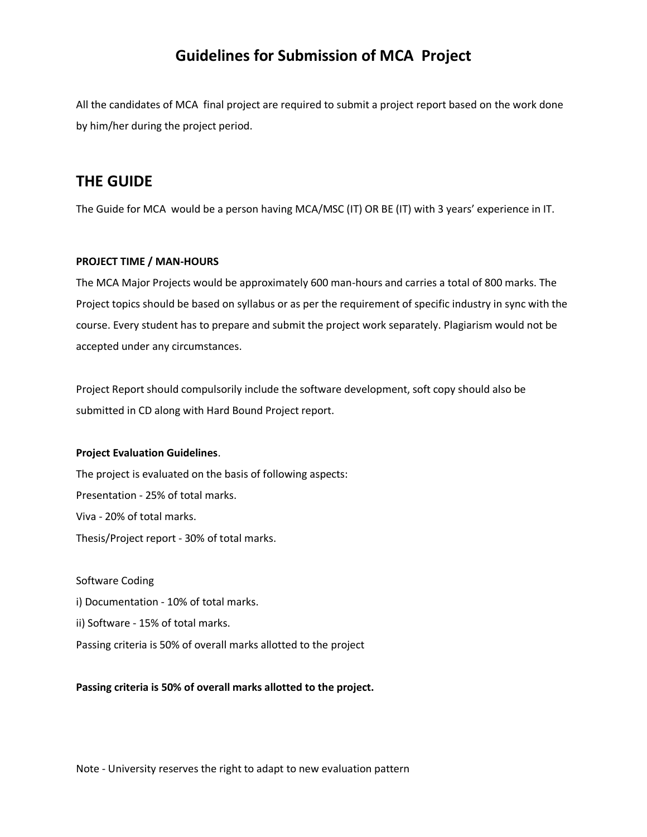## **Guidelines for Submission of MCA Project**

All the candidates of MCA final project are required to submit a project report based on the work done by him/her during the project period.

## **THE GUIDE**

The Guide for MCA would be a person having MCA/MSC (IT) OR BE (IT) with 3 years' experience in IT.

#### **PROJECT TIME / MAN-HOURS**

The MCA Major Projects would be approximately 600 man-hours and carries a total of 800 marks. The Project topics should be based on syllabus or as per the requirement of specific industry in sync with the course. Every student has to prepare and submit the project work separately. Plagiarism would not be accepted under any circumstances.

Project Report should compulsorily include the software development, soft copy should also be submitted in CD along with Hard Bound Project report.

#### **Project Evaluation Guidelines**.

The project is evaluated on the basis of following aspects: Presentation - 25% of total marks. Viva - 20% of total marks. Thesis/Project report - 30% of total marks.

#### Software Coding

i) Documentation - 10% of total marks.

ii) Software - 15% of total marks.

Passing criteria is 50% of overall marks allotted to the project

#### **Passing criteria is 50% of overall marks allotted to the project.**

Note - University reserves the right to adapt to new evaluation pattern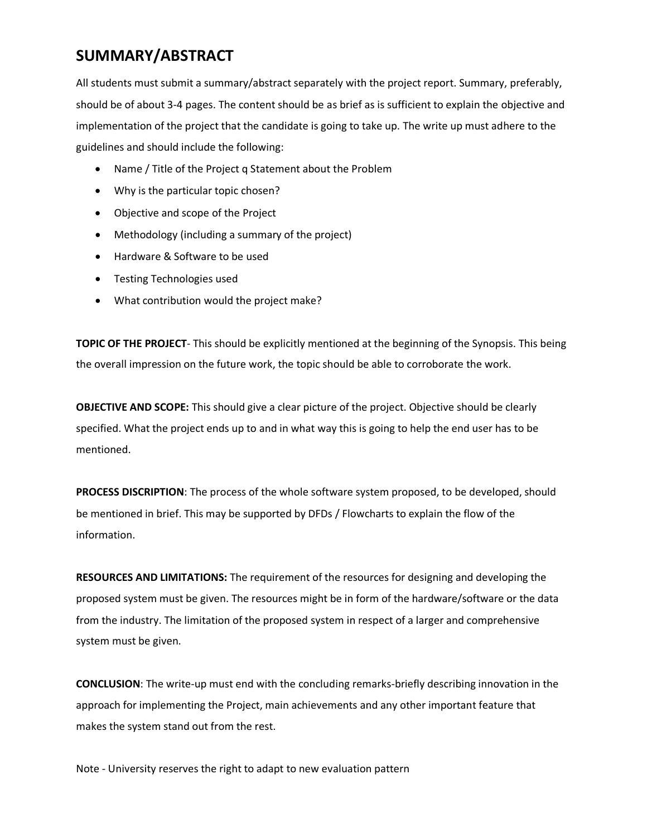# **SUMMARY/ABSTRACT**

All students must submit a summary/abstract separately with the project report. Summary, preferably, should be of about 3-4 pages. The content should be as brief as is sufficient to explain the objective and implementation of the project that the candidate is going to take up. The write up must adhere to the guidelines and should include the following:

- Name / Title of the Project q Statement about the Problem
- Why is the particular topic chosen?
- Objective and scope of the Project
- Methodology (including a summary of the project)
- Hardware & Software to be used
- **•** Testing Technologies used
- What contribution would the project make?

**TOPIC OF THE PROJECT**- This should be explicitly mentioned at the beginning of the Synopsis. This being the overall impression on the future work, the topic should be able to corroborate the work.

**OBJECTIVE AND SCOPE:** This should give a clear picture of the project. Objective should be clearly specified. What the project ends up to and in what way this is going to help the end user has to be mentioned.

**PROCESS DISCRIPTION**: The process of the whole software system proposed, to be developed, should be mentioned in brief. This may be supported by DFDs / Flowcharts to explain the flow of the information.

**RESOURCES AND LIMITATIONS:** The requirement of the resources for designing and developing the proposed system must be given. The resources might be in form of the hardware/software or the data from the industry. The limitation of the proposed system in respect of a larger and comprehensive system must be given.

**CONCLUSION**: The write-up must end with the concluding remarks-briefly describing innovation in the approach for implementing the Project, main achievements and any other important feature that makes the system stand out from the rest.

Note - University reserves the right to adapt to new evaluation pattern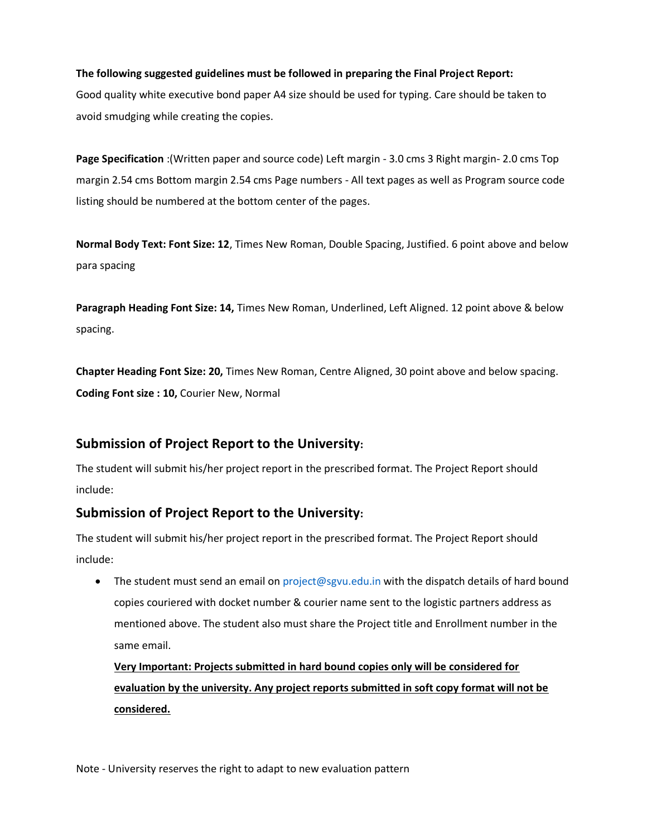#### **The following suggested guidelines must be followed in preparing the Final Project Report:**

Good quality white executive bond paper A4 size should be used for typing. Care should be taken to avoid smudging while creating the copies.

**Page Specification** :(Written paper and source code) Left margin - 3.0 cms 3 Right margin- 2.0 cms Top margin 2.54 cms Bottom margin 2.54 cms Page numbers - All text pages as well as Program source code listing should be numbered at the bottom center of the pages.

**Normal Body Text: Font Size: 12**, Times New Roman, Double Spacing, Justified. 6 point above and below para spacing

**Paragraph Heading Font Size: 14,** Times New Roman, Underlined, Left Aligned. 12 point above & below spacing.

**Chapter Heading Font Size: 20,** Times New Roman, Centre Aligned, 30 point above and below spacing. **Coding Font size : 10,** Courier New, Normal

### **Submission of Project Report to the University:**

The student will submit his/her project report in the prescribed format. The Project Report should include:

### **Submission of Project Report to the University:**

The student will submit his/her project report in the prescribed format. The Project Report should include:

• The student must send an email on project@sgvu.edu.in with the dispatch details of hard bound copies couriered with docket number & courier name sent to the logistic partners address as mentioned above. The student also must share the Project title and Enrollment number in the same email.

**Very Important: Projects submitted in hard bound copies only will be considered for evaluation by the university. Any project reports submitted in soft copy format will not be considered.**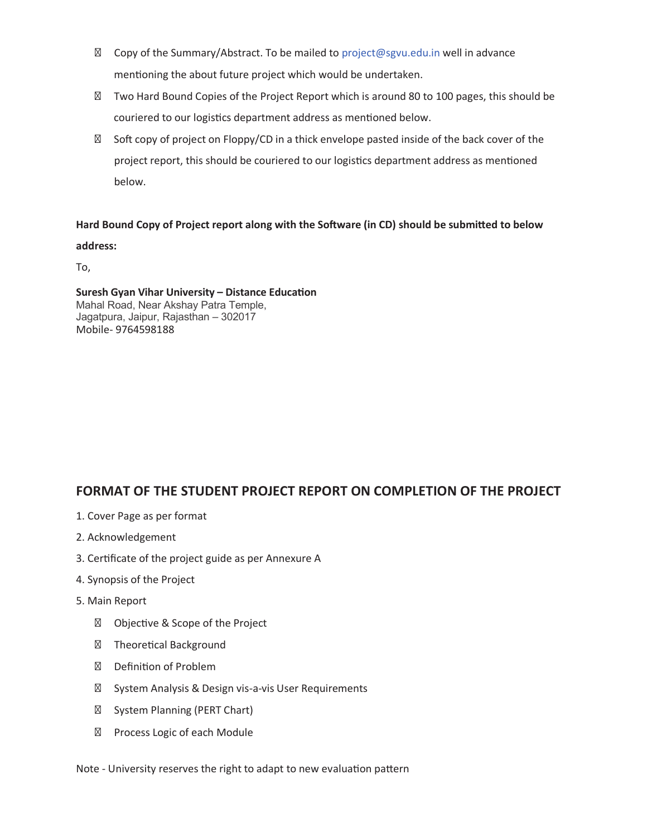Copy of the Summary/Abstract. To be mailed to project@sgvu.edu.in well in advance

mentioning the about future project which would be undertaken.

Two Hard Bound Copies of the Project Report which is around 80 to 100 pages, this should be couriered to our logistics department address as mentioned below.

Soft copy of project on Floppy/CD in a thick envelope pasted inside of the back cover of the project report, this should be couriered to our logistics department address as mentioned below.

#### Hard Bound Copy of Project report along with the Software (in CD) should be submitted to below

**address:**

To,

Mahal Road, Near Akshay Patra Temple, Jagatpura, Jaipur, Rajasthan – 302017 Mobile- 9764598188 **Suresh Gyan Vihar University – Distance Education**

### **FORMAT OF THE STUDENT PROJECT REPORT ON COMPLETION OF THE PROJECT**

- 1. Cover Page as per format
- 2. Acknowledgement
- 3. Certificate of the project guide as per Annexure A
- 4. Synopsis of the Project
- 5. Main Report

Objective & Scope of the Project Theoretical Background Definition of Problem System Analysis & Design vis-a-vis User Requirements System Planning (PERT Chart) Process Logic of each Module

Note - University reserves the right to adapt to new evaluation pattern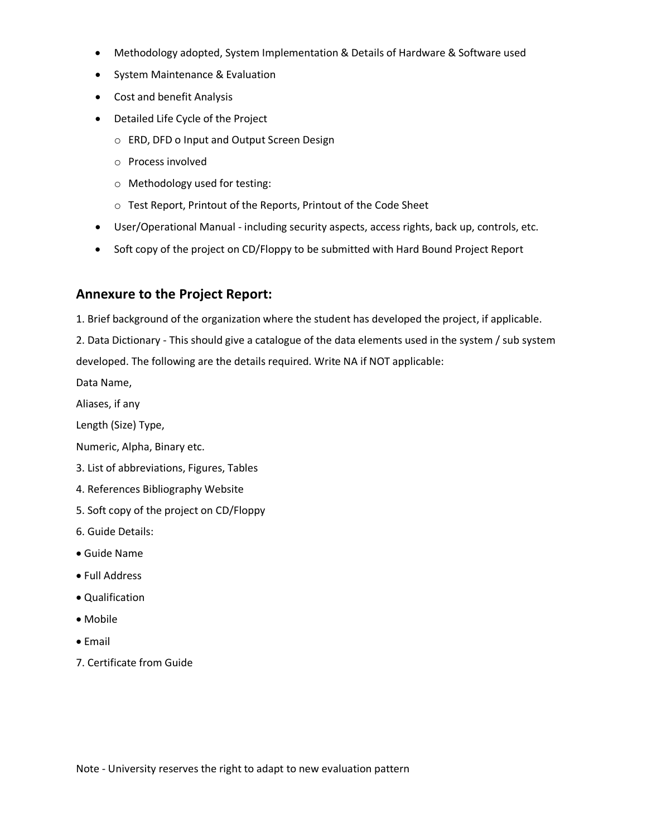- Methodology adopted, System Implementation & Details of Hardware & Software used
- System Maintenance & Evaluation
- Cost and benefit Analysis
- Detailed Life Cycle of the Project
	- o ERD, DFD o Input and Output Screen Design
	- o Process involved
	- o Methodology used for testing:
	- o Test Report, Printout of the Reports, Printout of the Code Sheet
- User/Operational Manual including security aspects, access rights, back up, controls, etc.
- Soft copy of the project on CD/Floppy to be submitted with Hard Bound Project Report

### **Annexure to the Project Report:**

1. Brief background of the organization where the student has developed the project, if applicable.

2. Data Dictionary - This should give a catalogue of the data elements used in the system / sub system developed. The following are the details required. Write NA if NOT applicable:

Data Name,

Aliases, if any

Length (Size) Type,

Numeric, Alpha, Binary etc.

- 3. List of abbreviations, Figures, Tables
- 4. References Bibliography Website
- 5. Soft copy of the project on CD/Floppy
- 6. Guide Details:
- Guide Name
- Full Address
- Qualification
- Mobile
- Email
- 7. Certificate from Guide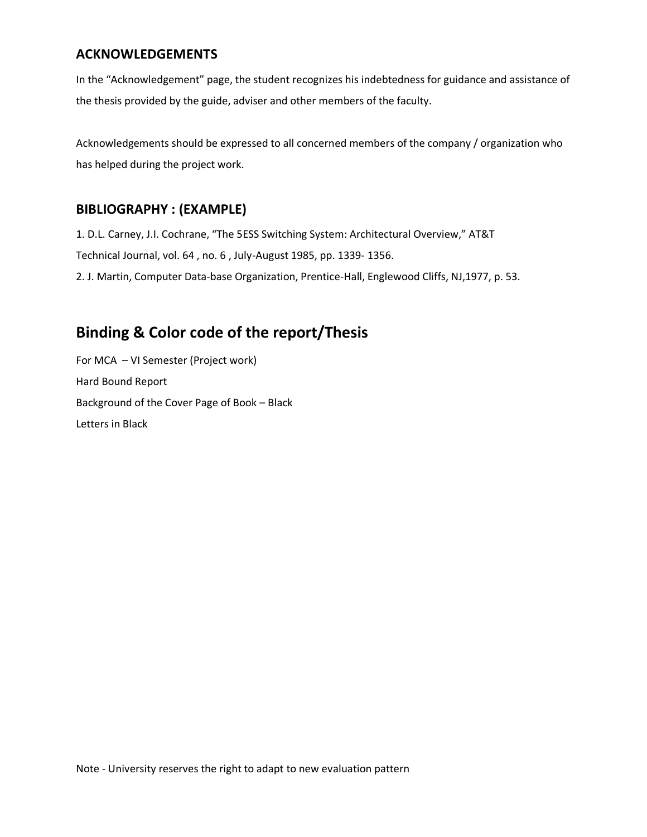### **ACKNOWLEDGEMENTS**

In the "Acknowledgement" page, the student recognizes his indebtedness for guidance and assistance of the thesis provided by the guide, adviser and other members of the faculty.

Acknowledgements should be expressed to all concerned members of the company / organization who has helped during the project work.

### **BIBLIOGRAPHY : (EXAMPLE)**

1. D.L. Carney, J.I. Cochrane, "The 5ESS Switching System: Architectural Overview," AT&T Technical Journal, vol. 64 , no. 6 , July-August 1985, pp. 1339- 1356. 2. J. Martin, Computer Data-base Organization, Prentice-Hall, Englewood Cliffs, NJ,1977, p. 53.

# **Binding & Color code of the report/Thesis**

For MCA – VI Semester (Project work) Hard Bound Report Background of the Cover Page of Book – Black Letters in Black